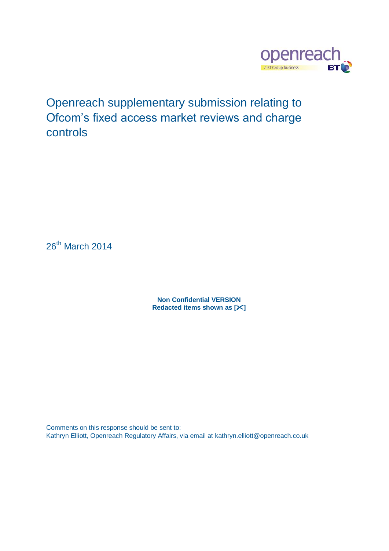

Openreach supplementary submission relating to Ofcom's fixed access market reviews and charge controls

26<sup>th</sup> March 2014

**Non Confidential VERSION Redacted items shown as []**

Comments on this response should be sent to: Kathryn Elliott, Openreach Regulatory Affairs, via email at kathryn.elliott@openreach.co.uk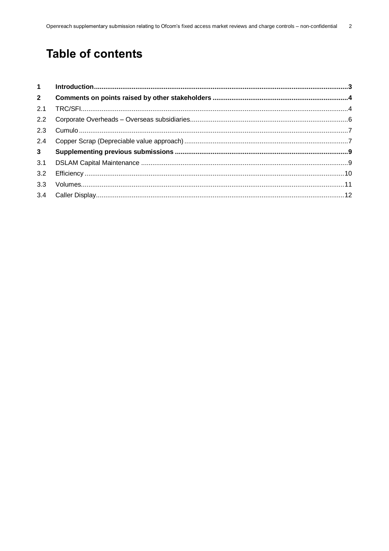# **Table of contents**

| $1 \quad$      |  |
|----------------|--|
| $2^{\circ}$    |  |
| 2.1            |  |
| 2.2            |  |
| 2.3            |  |
| 2.4            |  |
| 3 <sup>1</sup> |  |
| 3.1            |  |
| 3.2            |  |
| 3.3            |  |
| 3.4            |  |
|                |  |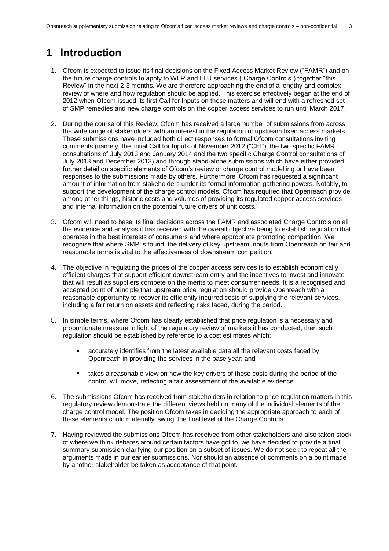## <span id="page-2-0"></span>**1 Introduction**

- 1. Ofcom is expected to issue its final decisions on the Fixed Access Market Review ("FAMR") and on the future charge controls to apply to WLR and LLU services ("Charge Controls") together "this Review" in the next 2-3 months. We are therefore approaching the end of a lengthy and complex review of where and how regulation should be applied. This exercise effectively began at the end of 2012 when Ofcom issued its first Call for Inputs on these matters and will end with a refreshed set of SMP remedies and new charge controls on the copper access services to run until March 2017.
- 2. During the course of this Review, Ofcom has received a large number of submissions from across the wide range of stakeholders with an interest in the regulation of upstream fixed access markets. These submissions have included both direct responses to formal Ofcom consultations inviting comments (namely, the initial Call for Inputs of November 2012 ("CFI"), the two specific FAMR consultations of July 2013 and January 2014 and the two specific Charge Control consultations of July 2013 and December 2013) and through stand-alone submissions which have either provided further detail on specific elements of Ofcom's review or charge control modelling or have been responses to the submissions made by others. Furthermore, Ofcom has requested a significant amount of information from stakeholders under its formal information gathering powers. Notably, to support the development of the charge control models. Ofcom has required that Openreach provide, among other things, historic costs and volumes of providing its regulated copper access services and internal information on the potential future drivers of unit costs.
- 3. Ofcom will need to base its final decisions across the FAMR and associated Charge Controls on all the evidence and analysis it has received with the overall objective being to establish regulation that operates in the best interests of consumers and where appropriate promoting competition. We recognise that where SMP is found, the delivery of key upstream inputs from Openreach on fair and reasonable terms is vital to the effectiveness of downstream competition.
- 4. The objective in regulating the prices of the copper access services is to establish economically efficient charges that support efficient downstream entry and the incentives to invest and innovate that will result as suppliers compete on the merits to meet consumer needs. It is a recognised and accepted point of principle that upstream price regulation should provide Openreach with a reasonable opportunity to recover its efficiently incurred costs of supplying the relevant services, including a fair return on assets and reflecting risks faced, during the period.
- 5. In simple terms, where Ofcom has clearly established that price regulation is a necessary and proportionate measure in light of the regulatory review of markets it has conducted, then such regulation should be established by reference to a cost estimates which:
	- accurately identifies from the latest available data all the relevant costs faced by Openreach in providing the services in the base year; and
	- takes a reasonable view on how the key drivers of those costs during the period of the control will move, reflecting a fair assessment of the available evidence.
- 6. The submissions Ofcom has received from stakeholders in relation to price regulation matters in this regulatory review demonstrate the different views held on many of the individual elements of the charge control model. The position Ofcom takes in deciding the appropriate approach to each of these elements could materially 'swing' the final level of the Charge Controls.
- 7. Having reviewed the submissions Ofcom has received from other stakeholders and also taken stock of where we think debates around certain factors have got to, we have decided to provide a final summary submission clarifying our position on a subset of issues. We do not seek to repeat all the arguments made in our earlier submissions. Nor should an absence of comments on a point made by another stakeholder be taken as acceptance of that point.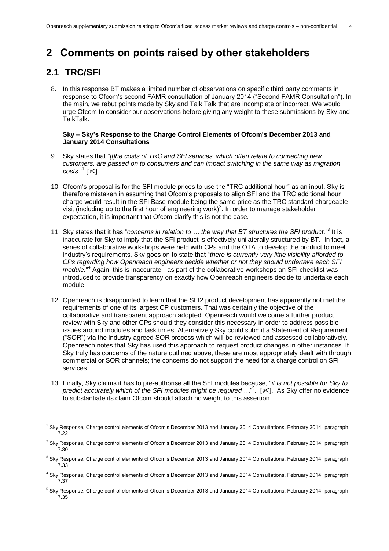## <span id="page-3-0"></span>**2 Comments on points raised by other stakeholders**

### <span id="page-3-1"></span>**2.1 TRC/SFI**

-

8. In this response BT makes a limited number of observations on specific third party comments in response to Ofcom's second FAMR consultation of January 2014 ("Second FAMR Consultation"). In the main, we rebut points made by Sky and Talk Talk that are incomplete or incorrect. We would urge Ofcom to consider our observations before giving any weight to these submissions by Sky and TalkTalk.

#### **Sky – Sky's Response to the Charge Control Elements of Ofcom's December 2013 and January 2014 Consultations**

- 9. Sky states that *"[t]he costs of TRC and SFI services, which often relate to connecting new customers, are passed on to consumers and can impact switching in the same way as migration*   $costs."$ <sup>1</sup> $\times$ ].
- 10. Ofcom's proposal is for the SFI module prices to use the "TRC additional hour" as an input. Sky is therefore mistaken in assuming that Ofcom's proposals to align SFI and the TRC additional hour charge would result in the SFI Base module being the same price as the TRC standard chargeable visit (including up to the first hour of engineering work)<sup>2</sup>. In order to manage stakeholder expectation, it is important that Ofcom clarify this is not the case.
- 11. Sky states that it has "*concerns in relation to ... the way that BT structures the SFI product.*<sup>3</sup> It is inaccurate for Sky to imply that the SFI product is effectively unilaterally structured by BT. In fact, a series of collaborative workshops were held with CPs and the OTA to develop the product to meet industry's requirements. Sky goes on to state that "*there is currently very little visibility afforded to CPs regarding how Openreach engineers decide whether or not they should undertake each SFI*  module.<sup>"4</sup> Again, this is inaccurate - as part of the collaborative workshops an SFI checklist was introduced to provide transparency on exactly how Openreach engineers decide to undertake each module.
- 12. Openreach is disappointed to learn that the SFI2 product development has apparently not met the requirements of one of its largest CP customers. That was certainly the objective of the collaborative and transparent approach adopted. Openreach would welcome a further product review with Sky and other CPs should they consider this necessary in order to address possible issues around modules and task times. Alternatively Sky could submit a Statement of Requirement ("SOR") via the industry agreed SOR process which will be reviewed and assessed collaboratively. Openreach notes that Sky has used this approach to request product changes in other instances. If Sky truly has concerns of the nature outlined above, these are most appropriately dealt with through commercial or SOR channels; the concerns do not support the need for a charge control on SFI services.
- 13. Finally, Sky claims it has to pre-authorise all the SFI modules because, "*it is not possible for Sky to*  predict accurately which of the SFI modules might be required ..."<sup>5</sup>. [ $\times$ ]. As Sky offer no evidence to substantiate its claim Ofcom should attach no weight to this assertion.

<sup>1</sup> Sky Response, Charge control elements of Ofcom's December 2013 and January 2014 Consultations, February 2014, paragraph 7.22

<sup>&</sup>lt;sup>2</sup> Sky Response, Charge control elements of Ofcom's December 2013 and January 2014 Consultations, February 2014, paragraph 7.30

<sup>&</sup>lt;sup>3</sup> Sky Response, Charge control elements of Ofcom's December 2013 and January 2014 Consultations, February 2014, paragraph 7.33

<sup>4</sup> Sky Response, Charge control elements of Ofcom's December 2013 and January 2014 Consultations, February 2014, paragraph 7.37

<sup>&</sup>lt;sup>5</sup> Sky Response, Charge control elements of Ofcom's December 2013 and January 2014 Consultations, February 2014, paragraph 7.35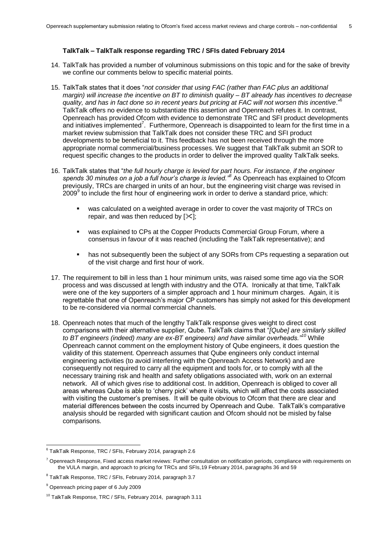#### **TalkTalk – TalkTalk response regarding TRC / SFIs dated February 2014**

- 14. TalkTalk has provided a number of voluminous submissions on this topic and for the sake of brevity we confine our comments below to specific material points.
- 15. TalkTalk states that it does "*not consider that using FAC (rather than FAC plus an additional margin) will increase the incentive on BT to diminish quality – BT already has incentives to decrease quality, and has in fact done so in recent years but pricing at FAC will not worsen this incentive*."<sup>6</sup> TalkTalk offers no evidence to substantiate this assertion and Openreach refutes it. In contrast, Openreach has provided Ofcom with evidence to demonstrate TRC and SFI product developments and initiatives implemented<sup>7</sup>. Furthermore, Openreach is disappointed to learn for the first time in a market review submission that TalkTalk does not consider these TRC and SFI product developments to be beneficial to it. This feedback has not been received through the more appropriate normal commercial/business processes. We suggest that TalkTalk submit an SOR to request specific changes to the products in order to deliver the improved quality TalkTalk seeks.
- 16. TalkTalk states that "*the full hourly charge is levied for part hours. For instance, if the engineer spends 30 minutes on a job a full hour's charge is levied."<sup>8</sup>* As Openreach has explained to Ofcom previously, TRCs are charged in units of an hour, but the engineering visit charge was revised in  $2009^9$  to include the first hour of engineering work in order to derive a standard price, which:
	- was calculated on a weighted average in order to cover the vast majority of TRCs on repair, and was then reduced by  $[\times]$ ;
	- was explained to CPs at the Copper Products Commercial Group Forum, where a consensus in favour of it was reached (including the TalkTalk representative); and
	- **has not subsequently been the subject of any SORs from CPs requesting a separation out** of the visit charge and first hour of work.
- 17. The requirement to bill in less than 1 hour minimum units, was raised some time ago via the SOR process and was discussed at length with industry and the OTA. Ironically at that time, TalkTalk were one of the key supporters of a simpler approach and 1 hour minimum charges. Again, it is regrettable that one of Openreach's major CP customers has simply not asked for this development to be re-considered via normal commercial channels.
- 18. Openreach notes that much of the lengthy TalkTalk response gives weight to direct cost comparisons with their alternative supplier, Qube. TalkTalk claims that "*[Qube] are similarly skilled to BT engineers (indeed) many are ex-BT engineers) and have similar overheads."<sup>10</sup>* While Openreach cannot comment on the employment history of Qube engineers, it does question the validity of this statement. Openreach assumes that Qube engineers only conduct internal engineering activities (to avoid interfering with the Openreach Access Network) and are consequently not required to carry all the equipment and tools for, or to comply with all the necessary training risk and health and safety obligations associated with, work on an external network. All of which gives rise to additional cost. In addition, Openreach is obliged to cover all areas whereas Qube is able to 'cherry pick' where it visits, which will affect the costs associated with visiting the customer's premises. It will be quite obvious to Ofcom that there are clear and material differences between the costs incurred by Openreach and Qube. TalkTalk's comparative analysis should be regarded with significant caution and Ofcom should not be misled by false comparisons.

1

 $^6$  TalkTalk Response, TRC / SFIs, February 2014, paragraph 2.6

<sup>&</sup>lt;sup>7</sup> Openreach Response, Fixed access market reviews: Further consultation on notification periods, compliance with requirements on the VULA margin, and approach to pricing for TRCs and SFIs,19 February 2014, paragraphs 36 and 59

<sup>&</sup>lt;sup>8</sup> TalkTalk Response, TRC / SFIs, February 2014, paragraph 3.7

<sup>9</sup> Openreach pricing paper of 6 July 2009

<sup>&</sup>lt;sup>10</sup> TalkTalk Response, TRC / SFIs, February 2014, paragraph 3.11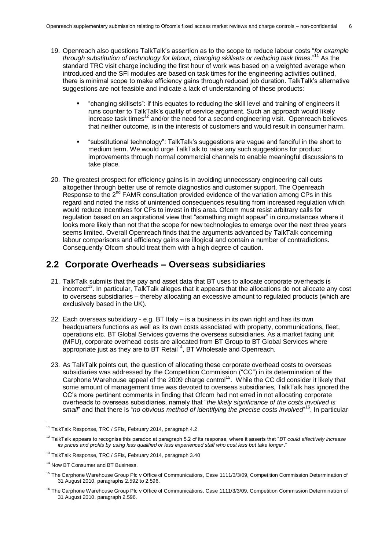- 19. Openreach also questions TalkTalk's assertion as to the scope to reduce labour costs "*for example through substitution of technology for labour, changing skillsets or reducing task times*."<sup>11</sup> As the standard TRC visit charge including the first hour of work was based on a weighted average when introduced and the SFI modules are based on task times for the engineering activities outlined, there is minimal scope to make efficiency gains through reduced job duration. TalkTalk's alternative suggestions are not feasible and indicate a lack of understanding of these products:
	- "changing skillsets": if this equates to reducing the skill level and training of engineers it runs counter to TalkTalk's quality of service argument. Such an approach would likely increase task times<sup>12</sup> and/or the need for a second engineering visit. Openreach believes that neither outcome, is in the interests of customers and would result in consumer harm.
	- "substitutional technology": TalkTalk's suggestions are vague and fanciful in the short to medium term. We would urge TalkTalk to raise any such suggestions for product improvements through normal commercial channels to enable meaningful discussions to take place.
- 20. The greatest prospect for efficiency gains is in avoiding unnecessary engineering call outs altogether through better use of remote diagnostics and customer support. The Openreach Response to the 2<sup>nd</sup> FAMR consultation provided evidence of the variation among CPs in this regard and noted the risks of unintended consequences resulting from increased regulation which would reduce incentives for CPs to invest in this area. Ofcom must resist arbitrary calls for regulation based on an aspirational view that "something might appear" in circumstances where it looks more likely than not that the scope for new technologies to emerge over the next three years seems limited. Overall Openreach finds that the arguments advanced by TalkTalk concerning labour comparisons and efficiency gains are illogical and contain a number of contradictions. Consequently Ofcom should treat them with a high degree of caution.

### <span id="page-5-0"></span>**2.2 Corporate Overheads – Overseas subsidiaries**

- 21. TalkTalk submits that the pay and asset data that BT uses to allocate corporate overheads is incorrect<sup>13</sup>. In particular, TalkTalk alleges that it appears that the allocations do not allocate any cost to overseas subsidiaries – thereby allocating an excessive amount to regulated products (which are exclusively based in the UK).
- 22. Each overseas subsidiary e.g. BT Italy is a business in its own right and has its own headquarters functions as well as its own costs associated with property, communications, fleet, operations etc. BT Global Services governs the overseas subsidiaries. As a market facing unit (MFU), corporate overhead costs are allocated from BT Group to BT Global Services where appropriate just as they are to BT Retail<sup>14</sup>, BT Wholesale and Openreach.
- 23. As TalkTalk points out, the question of allocating these corporate overhead costs to overseas subsidiaries was addressed by the Competition Commission ("CC") in its determination of the Carphone Warehouse appeal of the 2009 charge control<sup>15</sup>. While the CC did consider it likely that some amount of management time was devoted to overseas subsidiaries, TalkTalk has ignored the CC's more pertinent comments in finding that Ofcom had not erred in not allocating corporate overheads to overseas subsidiaries, namely that "*the likely significance of the costs involved is*  small' and that there is "no obvious method of identifying the precise costs involved<sup>"16</sup>. In particular

1

 $11$  TalkTalk Response, TRC / SFIs, February 2014, paragraph 4.2

<sup>12</sup> TalkTalk appears to recognise this paradox at paragraph 5.2 of its response, where it asserts that "*BT could effectively increase its prices and profits by using less qualified or less experienced staff who cost less but take longer*."

<sup>&</sup>lt;sup>13</sup> TalkTalk Response, TRC / SFIs, February 2014, paragraph 3.40

<sup>&</sup>lt;sup>14</sup> Now BT Consumer and BT Business.

<sup>&</sup>lt;sup>15</sup> The Carphone Warehouse Group Plc v Office of Communications, Case 1111/3/3/09, Competition Commission Determination of 31 August 2010, paragraphs 2.592 to 2.596.

<sup>&</sup>lt;sup>16</sup> The Carphone Warehouse Group Plc v Office of Communications, Case 1111/3/3/09, Competition Commission Determination of 31 August 2010, paragraph 2.596.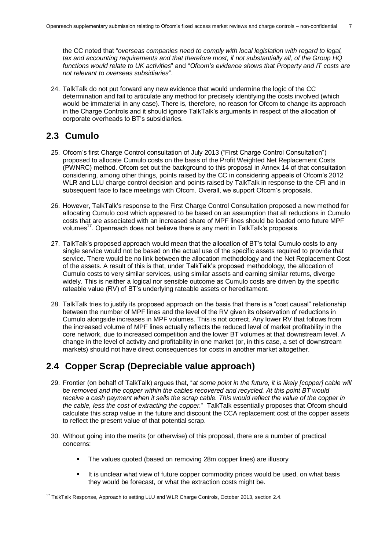the CC noted that "*overseas companies need to comply with local legislation with regard to legal, tax and accounting requirements and that therefore most, if not substantially all, of the Group HQ functions would relate to UK activities*" and "*Ofcom's evidence shows that Property and IT costs are not relevant to overseas subsidiaries*".

24. TalkTalk do not put forward any new evidence that would undermine the logic of the CC determination and fail to articulate any method for precisely identifying the costs involved (which would be immaterial in any case). There is, therefore, no reason for Ofcom to change its approach in the Charge Controls and it should ignore TalkTalk's arguments in respect of the allocation of corporate overheads to BT's subsidiaries.

### <span id="page-6-0"></span>**2.3 Cumulo**

- 25. Ofcom's first Charge Control consultation of July 2013 ("First Charge Control Consultation") proposed to allocate Cumulo costs on the basis of the Profit Weighted Net Replacement Costs (PWNRC) method. Ofcom set out the background to this proposal in Annex 14 of that consultation considering, among other things, points raised by the CC in considering appeals of Ofcom's 2012 WLR and LLU charge control decision and points raised by TalkTalk in response to the CFI and in subsequent face to face meetings with Ofcom. Overall, we support Ofcom's proposals.
- 26. However, TalkTalk's response to the First Charge Control Consultation proposed a new method for allocating Cumulo cost which appeared to be based on an assumption that all reductions in Cumulo costs that are associated with an increased share of MPF lines should be loaded onto future MPF volumes<sup>17</sup>. Openreach does not believe there is any merit in TalkTalk's proposals.
- 27. TalkTalk's proposed approach would mean that the allocation of BT's total Cumulo costs to any single service would not be based on the actual use of the specific assets required to provide that service. There would be no link between the allocation methodology and the Net Replacement Cost of the assets. A result of this is that, under TalkTalk's proposed methodology, the allocation of Cumulo costs to very similar services, using similar assets and earning similar returns, diverge widely. This is neither a logical nor sensible outcome as Cumulo costs are driven by the specific rateable value (RV) of BT's underlying rateable assets or hereditament.
- 28. TalkTalk tries to justify its proposed approach on the basis that there is a "cost causal" relationship between the number of MPF lines and the level of the RV given its observation of reductions in Cumulo alongside increases in MPF volumes. This is not correct. Any lower RV that follows from the increased volume of MPF lines actually reflects the reduced level of market profitability in the core network, due to increased competition and the lower BT volumes at that downstream level. A change in the level of activity and profitability in one market (or, in this case, a set of downstream markets) should not have direct consequences for costs in another market altogether.

### <span id="page-6-1"></span>**2.4 Copper Scrap (Depreciable value approach)**

- 29. Frontier (on behalf of TalkTalk) argues that, "*at some point in the future, it is likely [copper] cable will be removed and the copper within the cables recovered and recycled. At this point BT would receive a cash payment when it sells the scrap cable. This would reflect the value of the copper in the cable, less the cost of extracting the copper.*" TalkTalk essentially proposes that Ofcom should calculate this scrap value in the future and discount the CCA replacement cost of the copper assets to reflect the present value of that potential scrap.
- 30. Without going into the merits (or otherwise) of this proposal, there are a number of practical concerns:
	- The values quoted (based on removing 28m copper lines) are illusory
	- It is unclear what view of future copper commodity prices would be used, on what basis they would be forecast, or what the extraction costs might be.

<sup>1</sup>  $17$  TalkTalk Response, Approach to setting LLU and WLR Charge Controls, October 2013, section 2.4.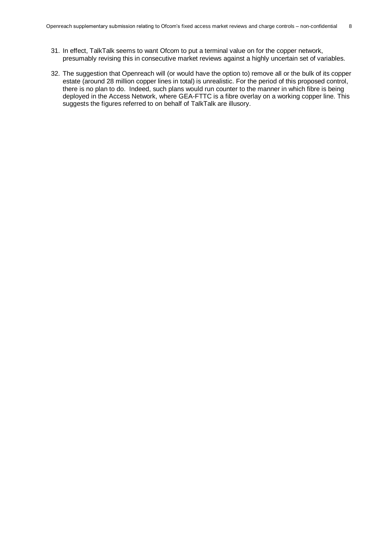- 31. In effect, TalkTalk seems to want Ofcom to put a terminal value on for the copper network, presumably revising this in consecutive market reviews against a highly uncertain set of variables.
- 32. The suggestion that Openreach will (or would have the option to) remove all or the bulk of its copper estate (around 28 million copper lines in total) is unrealistic. For the period of this proposed control, there is no plan to do. Indeed, such plans would run counter to the manner in which fibre is being deployed in the Access Network, where GEA-FTTC is a fibre overlay on a working copper line. This suggests the figures referred to on behalf of TalkTalk are illusory.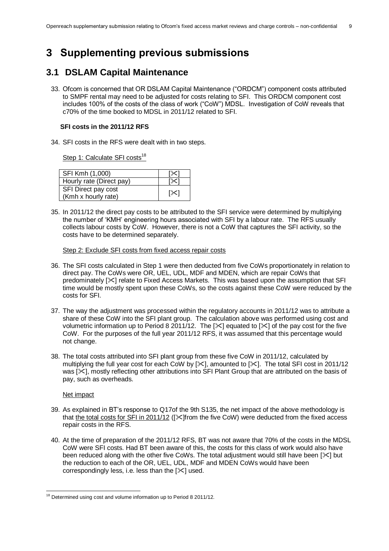## <span id="page-8-0"></span>**3 Supplementing previous submissions**

### <span id="page-8-1"></span>**3.1 DSLAM Capital Maintenance**

33. Ofcom is concerned that OR DSLAM Capital Maintenance ("ORDCM") component costs attributed to SMPF rental may need to be adjusted for costs relating to SFI. This ORDCM component cost includes 100% of the costs of the class of work ("CoW") MDSL. Investigation of CoW reveals that c70% of the time booked to MDSL in 2011/12 related to SFI.

#### **SFI costs in the 2011/12 RFS**

34. SFI costs in the RFS were dealt with in two steps.

Step 1: Calculate SFI costs<sup>18</sup>

| SFI Kmh (1,000)          |     |
|--------------------------|-----|
| Hourly rate (Direct pay) |     |
| SFI Direct pay cost      | [≻[ |
| (Kmh x hourly rate)      |     |

35. In 2011/12 the direct pay costs to be attributed to the SFI service were determined by multiplying the number of 'KMH' engineering hours associated with SFI by a labour rate. The RFS usually collects labour costs by CoW. However, there is not a CoW that captures the SFI activity, so the costs have to be determined separately.

#### Step 2: Exclude SFI costs from fixed access repair costs

- 36. The SFI costs calculated in Step 1 were then deducted from five CoWs proportionately in relation to direct pay. The CoWs were OR, UEL, UDL, MDF and MDEN, which are repair CoWs that predominately [ $|X|$  relate to Fixed Access Markets. This was based upon the assumption that SFI time would be mostly spent upon these CoWs, so the costs against these CoW were reduced by the costs for SFI.
- 37. The way the adjustment was processed within the regulatory accounts in 2011/12 was to attribute a share of these CoW into the SFI plant group. The calculation above was performed using cost and volumetric information up to Period 8 2011/12. The  $[\times]$  equated to  $[\times]$  of the pay cost for the five CoW. For the purposes of the full year 2011/12 RFS, it was assumed that this percentage would not change.
- 38. The total costs attributed into SFI plant group from these five CoW in 2011/12, calculated by multiplying the full year cost for each CoW by  $[\times]$ , amounted to  $[\times]$ . The total SFI cost in 2011/12 was [ $\angle$ ], mostly reflecting other attributions into SFI Plant Group that are attributed on the basis of pay, such as overheads.

#### Net impact

- 39. As explained in BT's response to Q17of the 9th S135, the net impact of the above methodology is that the total costs for SFI in 2011/12 ([X]from the five CoW) were deducted from the fixed access repair costs in the RFS.
- 40. At the time of preparation of the 2011/12 RFS, BT was not aware that 70% of the costs in the MDSL CoW were SFI costs. Had BT been aware of this, the costs for this class of work would also have been reduced along with the other five CoWs. The total adjustment would still have been  $[\times]$  but the reduction to each of the OR, UEL, UDL, MDF and MDEN CoWs would have been correspondingly less, i.e. less than the  $[\times]$  used.

<sup>1</sup>  $18$  Determined using cost and volume information up to Period 8 2011/12.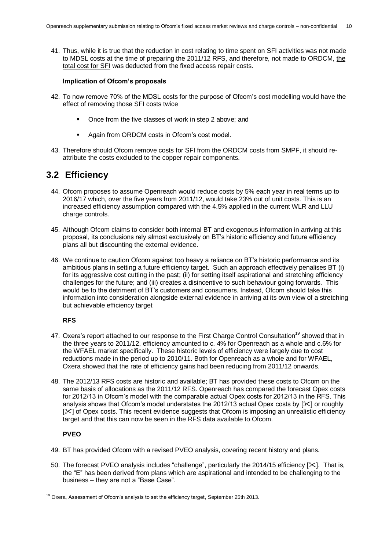41. Thus, while it is true that the reduction in cost relating to time spent on SFI activities was not made to MDSL costs at the time of preparing the 2011/12 RFS, and therefore, not made to ORDCM, the total cost for SFI was deducted from the fixed access repair costs.

#### **Implication of Ofcom's proposals**

- 42. To now remove 70% of the MDSL costs for the purpose of Ofcom's cost modelling would have the effect of removing those SFI costs twice
	- Once from the five classes of work in step 2 above; and
	- Again from ORDCM costs in Ofcom's cost model.
- 43. Therefore should Ofcom remove costs for SFI from the ORDCM costs from SMPF, it should reattribute the costs excluded to the copper repair components.

### <span id="page-9-0"></span>**3.2 Efficiency**

- 44. Ofcom proposes to assume Openreach would reduce costs by 5% each year in real terms up to 2016/17 which, over the five years from 2011/12, would take 23% out of unit costs. This is an increased efficiency assumption compared with the 4.5% applied in the current WLR and LLU charge controls.
- 45. Although Ofcom claims to consider both internal BT and exogenous information in arriving at this proposal, its conclusions rely almost exclusively on BT's historic efficiency and future efficiency plans all but discounting the external evidence.
- 46. We continue to caution Ofcom against too heavy a reliance on BT's historic performance and its ambitious plans in setting a future efficiency target. Such an approach effectively penalises BT (i) for its aggressive cost cutting in the past; (ii) for setting itself aspirational and stretching efficiency challenges for the future; and (iii) creates a disincentive to such behaviour going forwards. This would be to the detriment of BT's customers and consumers. Instead, Ofcom should take this information into consideration alongside external evidence in arriving at its own view of a stretching but achievable efficiency target

#### **RFS**

- 47. Oxera's report attached to our response to the First Charge Control Consultation<sup>19</sup> showed that in the three years to 2011/12, efficiency amounted to c. 4% for Openreach as a whole and c.6% for the WFAEL market specifically. These historic levels of efficiency were largely due to cost reductions made in the period up to 2010/11. Both for Openreach as a whole and for WFAEL, Oxera showed that the rate of efficiency gains had been reducing from 2011/12 onwards.
- 48. The 2012/13 RFS costs are historic and available; BT has provided these costs to Ofcom on the same basis of allocations as the 2011/12 RFS. Openreach has compared the forecast Opex costs for 2012/13 in Ofcom's model with the comparable actual Opex costs for 2012/13 in the RFS. This analysis shows that Ofcom's model understates the 2012/13 actual Opex costs by  $[\times]$  or roughly  $[\times]$  of Opex costs. This recent evidence suggests that Ofcom is imposing an unrealistic efficiency target and that this can now be seen in the RFS data available to Ofcom.

#### **PVEO**

1

- 49. BT has provided Ofcom with a revised PVEO analysis, covering recent history and plans.
- 50. The forecast PVEO analysis includes "challenge", particularly the 2014/15 efficiency [ $\le$ ]. That is, the "E" has been derived from plans which are aspirational and intended to be challenging to the business – they are not a "Base Case".

<sup>&</sup>lt;sup>19</sup> Oxera, Assessment of Ofcom's analysis to set the efficiency target, September 25th 2013.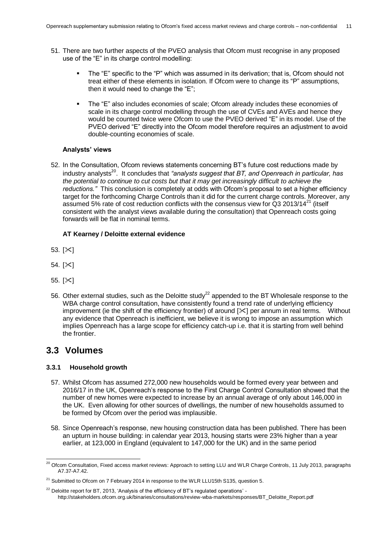- 51. There are two further aspects of the PVEO analysis that Ofcom must recognise in any proposed use of the "E" in its charge control modelling:
	- The "E" specific to the "P" which was assumed in its derivation; that is, Ofcom should not treat either of these elements in isolation. If Ofcom were to change its "P" assumptions, then it would need to change the "E";
	- The "E" also includes economies of scale; Ofcom already includes these economies of scale in its charge control modelling through the use of CVEs and AVEs and hence they would be counted twice were Ofcom to use the PVEO derived "E" in its model. Use of the PVEO derived "E" directly into the Ofcom model therefore requires an adjustment to avoid double-counting economies of scale.

#### **Analysts' views**

52. In the Consultation, Ofcom reviews statements concerning BT's future cost reductions made by industry analysts<sup>20</sup>. It concludes that "analysts suggest that BT, and Openreach in particular, has *the potential to continue to cut costs but that it may get increasingly difficult to achieve the reductions."* This conclusion is completely at odds with Ofcom's proposal to set a higher efficiency target for the forthcoming Charge Controls than it did for the current charge controls. Moreover, any assumed 5% rate of cost reduction conflicts with the consensus view for  $\tilde{Q}$ 3 2013/14<sup>21</sup> (itself consistent with the analyst views available during the consultation) that Openreach costs going forwards will be flat in nominal terms.

#### **AT Kearney / Deloitte external evidence**

- 53.  $[\times]$
- 54.  $[\times]$
- 55.  $[\times]$
- 56. Other external studies, such as the Deloitte study<sup>22</sup> appended to the BT Wholesale response to the WBA charge control consultation, have consistently found a trend rate of underlying efficiency improvement (ie the shift of the efficiency frontier) of around  $[\times]$  per annum in real terms. Without any evidence that Openreach is inefficient, we believe it is wrong to impose an assumption which implies Openreach has a large scope for efficiency catch-up i.e. that it is starting from well behind the frontier.

### <span id="page-10-0"></span>**3.3 Volumes**

1

#### **3.3.1 Household growth**

- 57. Whilst Ofcom has assumed 272,000 new households would be formed every year between and 2016/17 in the UK, Openreach's response to the First Charge Control Consultation showed that the number of new homes were expected to increase by an annual average of only about 146,000 in the UK. Even allowing for other sources of dwellings, the number of new households assumed to be formed by Ofcom over the period was implausible.
- 58. Since Openreach's response, new housing construction data has been published. There has been an upturn in house building: in calendar year 2013, housing starts were 23% higher than a year earlier, at 123,000 in England (equivalent to 147,000 for the UK) and in the same period

 $^{20}$  Ofcom Consultation, Fixed access market reviews: Approach to setting LLU and WLR Charge Controls, 11 July 2013, paragraphs A7.37-A7.42.

 $21$  Submitted to Ofcom on 7 February 2014 in response to the WLR LLU15th S135, question 5.

 $22$  Deloitte report for BT, 2013, 'Analysis of the efficiency of BT's regulated operations' http://stakeholders.ofcom.org.uk/binaries/consultations/review-wba-markets/responses/BT\_Deloitte\_Report.pdf